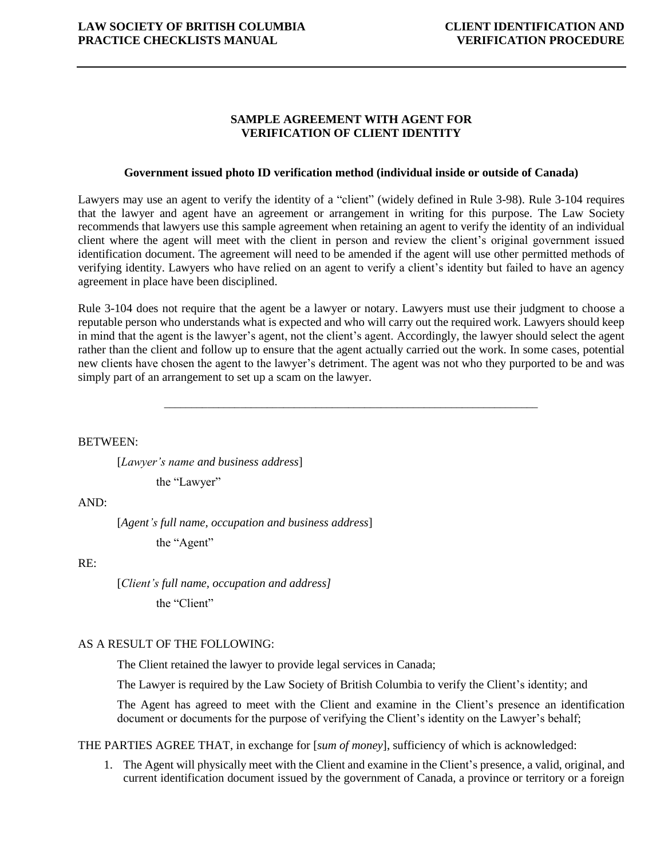# **SAMPLE AGREEMENT WITH AGENT FOR VERIFICATION OF CLIENT IDENTITY**

## **Government issued photo ID verification method (individual inside or outside of Canada)**

Lawyers may use an agent to verify the identity of a "client" (widely defined in Rule 3-98). Rule 3-104 requires that the lawyer and agent have an agreement or arrangement in writing for this purpose. The Law Society recommends that lawyers use this sample agreement when retaining an agent to verify the identity of an individual client where the agent will meet with the client in person and review the client's original government issued identification document. The agreement will need to be amended if the agent will use other permitted methods of verifying identity. Lawyers who have relied on an agent to verify a client's identity but failed to have an agency agreement in place have been disciplined.

Rule 3-104 does not require that the agent be a lawyer or notary. Lawyers must use their judgment to choose a reputable person who understands what is expected and who will carry out the required work. Lawyers should keep in mind that the agent is the lawyer's agent, not the client's agent. Accordingly, the lawyer should select the agent rather than the client and follow up to ensure that the agent actually carried out the work. In some cases, potential new clients have chosen the agent to the lawyer's detriment. The agent was not who they purported to be and was simply part of an arrangement to set up a scam on the lawyer.

\_\_\_\_\_\_\_\_\_\_\_\_\_\_\_\_\_\_\_\_\_\_\_\_\_\_\_\_\_\_\_\_\_\_\_\_\_\_\_\_\_\_\_\_\_\_\_\_\_\_\_\_\_\_\_\_\_\_\_\_\_\_\_\_\_\_\_\_\_

BETWEEN:

[*Lawyer's name and business address*]

the "Lawyer"

#### $AND<sup>2</sup>$

[*Agent's full name, occupation and business address*]

the "Agent"

## RE:

[*Client's full name, occupation and address]* the "Client"

## AS A RESULT OF THE FOLLOWING:

The Client retained the lawyer to provide legal services in Canada;

The Lawyer is required by the Law Society of British Columbia to verify the Client's identity; and

The Agent has agreed to meet with the Client and examine in the Client's presence an identification document or documents for the purpose of verifying the Client's identity on the Lawyer's behalf;

THE PARTIES AGREE THAT, in exchange for [*sum of money*], sufficiency of which is acknowledged:

1. The Agent will physically meet with the Client and examine in the Client's presence, a valid, original, and current identification document issued by the government of Canada, a province or territory or a foreign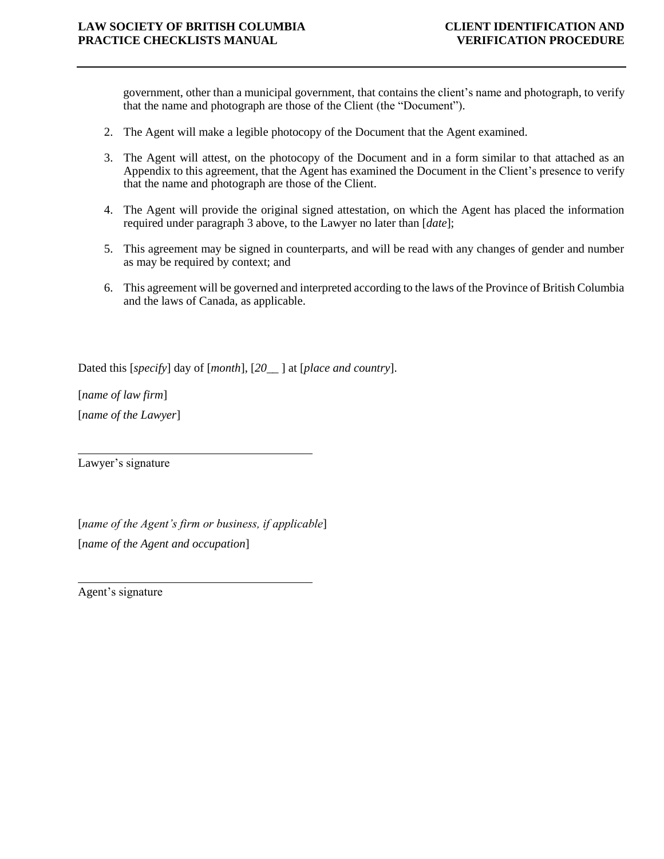government, other than a municipal government, that contains the client's name and photograph, to verify that the name and photograph are those of the Client (the "Document").

- 2. The Agent will make a legible photocopy of the Document that the Agent examined.
- 3. The Agent will attest, on the photocopy of the Document and in a form similar to that attached as an Appendix to this agreement, that the Agent has examined the Document in the Client's presence to verify that the name and photograph are those of the Client.
- 4. The Agent will provide the original signed attestation, on which the Agent has placed the information required under paragraph 3 above, to the Lawyer no later than [*date*];
- 5. This agreement may be signed in counterparts, and will be read with any changes of gender and number as may be required by context; and
- 6. This agreement will be governed and interpreted according to the laws of the Province of British Columbia and the laws of Canada, as applicable.

Dated this [*specify*] day of [*month*], [*20\_\_* ] at [*place and country*].

[*name of law firm*] [*name of the Lawyer*]

Lawyer's signature

[*name of the Agent's firm or business, if applicable*] [*name of the Agent and occupation*]

Agent's signature